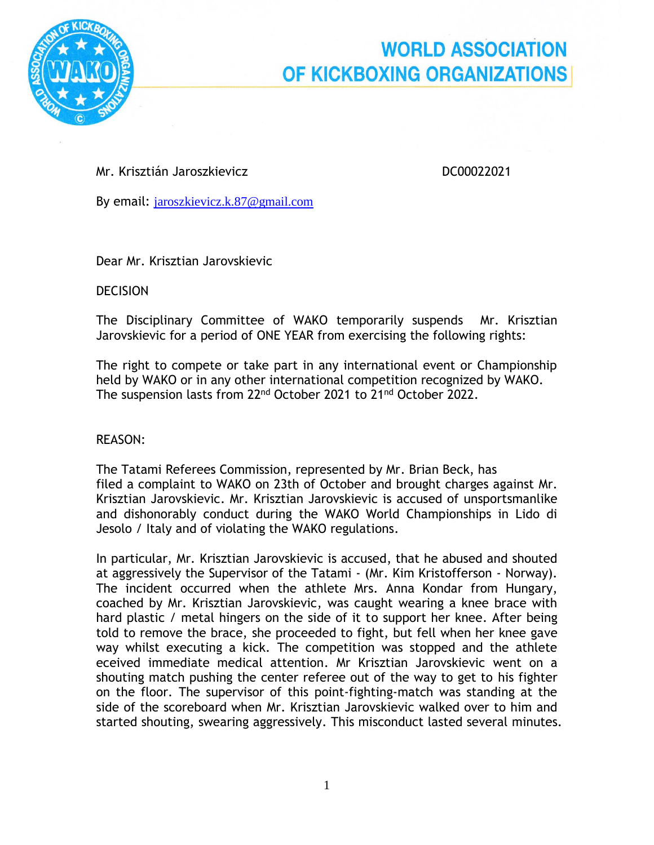

## **WORLD ASSOCIATION** OF KICKBOXING ORGANIZATIONS

Mr. Krisztián Jaroszkievicz bez alapította a bez alapította DC00022021

By email: [jaroszkievicz.k.87@gmail.com](mailto:jaroszkievicz.k.87@gmail.com)

Dear Mr. Krisztian Jarovskievic

**DECISION** 

The Disciplinary Committee of WAKO temporarily suspends Mr. Krisztian Jarovskievic for a period of ONE YEAR from exercising the following rights:

The right to compete or take part in any international event or Championship held by WAKO or in any other international competition recognized by WAKO. The suspension lasts from 22<sup>nd</sup> October 2021 to 21<sup>nd</sup> October 2022.

## REASON:

The Tatami Referees Commission, represented by Mr. Brian Beck, has filed a complaint to WAKO on 23th of October and brought charges against Mr. Krisztian Jarovskievic. Mr. Krisztian Jarovskievic is accused of unsportsmanlike and dishonorably conduct during the WAKO World Championships in Lido di Jesolo / Italy and of violating the WAKO regulations.

In particular, Mr. Krisztian Jarovskievic is accused, that he abused and shouted at aggressively the Supervisor of the Tatami - (Mr. Kim Kristofferson - Norway). The incident occurred when the athlete Mrs. Anna Kondar from Hungary, coached by Mr. Krisztian Jarovskievic, was caught wearing a knee brace with hard plastic / metal hingers on the side of it to support her knee. After being told to remove the brace, she proceeded to fight, but fell when her knee gave way whilst executing a kick. The competition was stopped and the athlete eceived immediate medical attention. Mr Krisztian Jarovskievic went on a shouting match pushing the center referee out of the way to get to his fighter on the floor. The supervisor of this point-fighting-match was standing at the side of the scoreboard when Mr. Krisztian Jarovskievic walked over to him and started shouting, swearing aggressively. This misconduct lasted several minutes.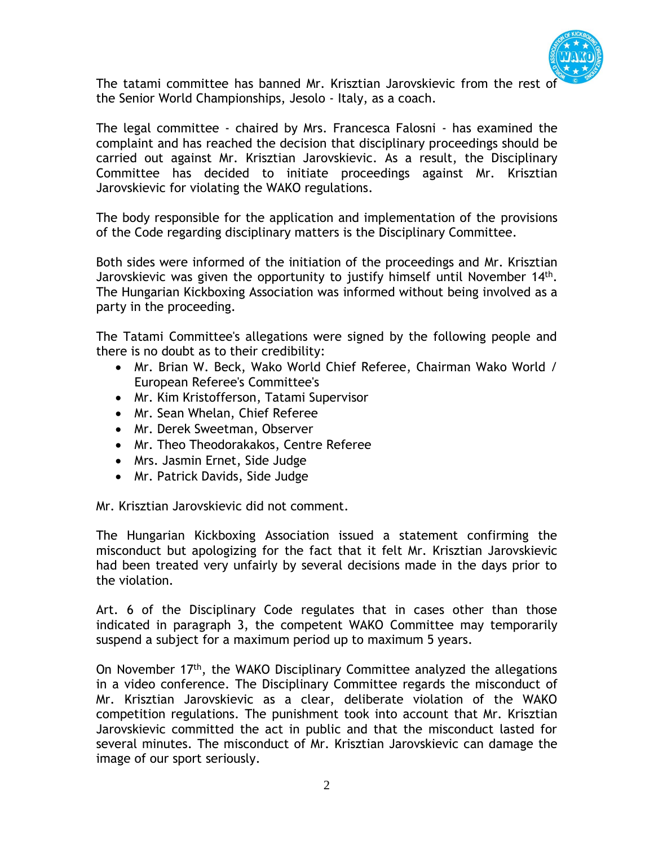

The tatami committee has banned Mr. Krisztian Jarovskievic from the rest of the Senior World Championships, Jesolo - Italy, as a coach.

The legal committee - chaired by Mrs. Francesca Falosni - has examined the complaint and has reached the decision that disciplinary proceedings should be carried out against Mr. Krisztian Jarovskievic. As a result, the Disciplinary Committee has decided to initiate proceedings against Mr. Krisztian Jarovskievic for violating the WAKO regulations.

The body responsible for the application and implementation of the provisions of the Code regarding disciplinary matters is the Disciplinary Committee.

Both sides were informed of the initiation of the proceedings and Mr. Krisztian Jarovskievic was given the opportunity to justify himself until November 14<sup>th</sup>. The Hungarian Kickboxing Association was informed without being involved as a party in the proceeding.

The Tatami Committee's allegations were signed by the following people and there is no doubt as to their credibility:

- Mr. Brian W. Beck, Wako World Chief Referee, Chairman Wako World / European Referee's Committee's
- Mr. Kim Kristofferson, Tatami Supervisor
- Mr. Sean Whelan, Chief Referee
- Mr. Derek Sweetman, Observer
- Mr. Theo Theodorakakos, Centre Referee
- Mrs. Jasmin Ernet, Side Judge
- Mr. Patrick Davids, Side Judge

Mr. Krisztian Jarovskievic did not comment.

The Hungarian Kickboxing Association issued a statement confirming the misconduct but apologizing for the fact that it felt Mr. Krisztian Jarovskievic had been treated very unfairly by several decisions made in the days prior to the violation.

Art. 6 of the Disciplinary Code regulates that in cases other than those indicated in paragraph 3, the competent WAKO Committee may temporarily suspend a subject for a maximum period up to maximum 5 years.

On November 17<sup>th</sup>, the WAKO Disciplinary Committee analyzed the allegations in a video conference. The Disciplinary Committee regards the misconduct of Mr. Krisztian Jarovskievic as a clear, deliberate violation of the WAKO competition regulations. The punishment took into account that Mr. Krisztian Jarovskievic committed the act in public and that the misconduct lasted for several minutes. The misconduct of Mr. Krisztian Jarovskievic can damage the image of our sport seriously.